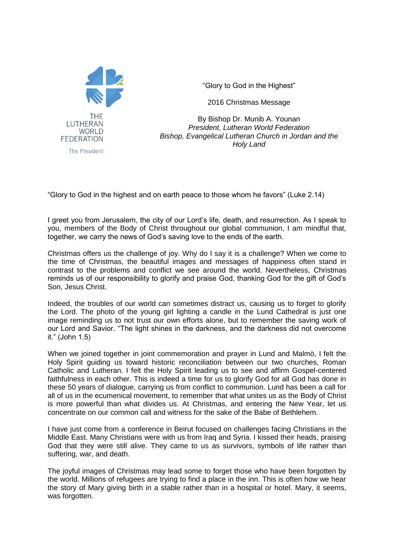

"Glory to God in the Highest"

2016 Christmas Message

By Bishop Dr. Munib A. Younan *President, Lutheran World Federation Bishop, Evangelical Lutheran Church in Jordan and the Holy Land*

"Glory to God in the highest and on earth peace to those whom he favors" (Luke 2.14)

I greet you from Jerusalem, the city of our Lord's life, death, and resurrection. As I speak to you, members of the Body of Christ throughout our global communion, I am mindful that, together, we carry the news of God's saving love to the ends of the earth.

Christmas offers us the challenge of joy. Why do I say it is a challenge? When we come to the time of Christmas, the beautiful images and messages of happiness often stand in contrast to the problems and conflict we see around the world. Nevertheless, Christmas reminds us of our responsibility to glorify and praise God, thanking God for the gift of God's Son, Jesus Christ.

Indeed, the troubles of our world can sometimes distract us, causing us to forget to glorify the Lord. The photo of the young girl lighting a candle in the Lund Cathedral is just one image reminding us to not trust our own efforts alone, but to remember the saving work of our Lord and Savior. "The light shines in the darkness, and the darkness did not overcome it." (John 1.5)

When we joined together in joint commemoration and prayer in Lund and Malmö, I felt the Holy Spirit guiding us toward historic reconciliation between our two churches, Roman Catholic and Lutheran. I felt the Holy Spirit leading us to see and affirm Gospel-centered faithfulness in each other. This is indeed a time for us to glorify God for all God has done in these 50 years of dialogue, carrying us from conflict to communion. Lund has been a call for all of us in the ecumenical movement, to remember that what unites us as the Body of Christ is more powerful than what divides us. At Christmas, and entering the New Year, let us concentrate on our common call and witness for the sake of the Babe of Bethlehem.

I have just come from a conference in Beirut focused on challenges facing Christians in the Middle East. Many Christians were with us from Iraq and Syria. I kissed their heads, praising God that they were still alive. They came to us as survivors, symbols of life rather than suffering, war, and death.

The joyful images of Christmas may lead some to forget those who have been forgotten by the world. Millions of refugees are trying to find a place in the inn. This is often how we hear the story of Mary giving birth in a stable rather than in a hospital or hotel. Mary, it seems, was forgotten.